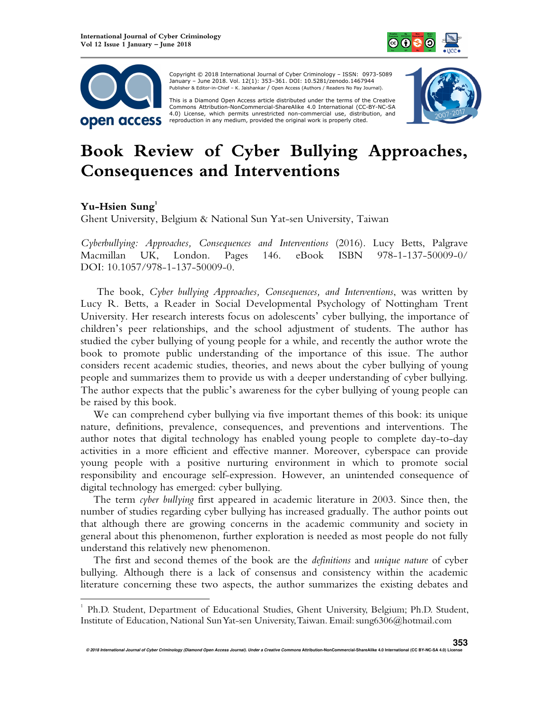



 Copyright © 2018 International Journal of Cyber Criminology – ISSN: 0973-5089 January – June 2018. Vol. 12(1): 353–361. DOI: 10.5281/zenodo.1467944 Publisher & Editor-in-Chief – K. Jaishankar / Open Access (Authors / Readers No Pay Journal).

This is a Diamond Open Access article distributed under the terms of the Creative<br>Commons Attribution-NonCommercial-ShareAlike 4.0 International (CC-BY-NC-SA 4.0) License, which permits unrestricted non-commercial use, distribution, and reproduction in any medium, provided the original work is properly cited.



## **Book Review of Cyber Bullying Approaches, Consequences and Interventions**

## **Yu-Hsien Sung<sup>1</sup>**

 $\overline{a}$ 

Ghent University, Belgium & National Sun Yat-sen University, Taiwan

*Cyberbullying: Approaches, Consequences and Interventions* (2016). Lucy Betts, Palgrave Macmillan UK, London. Pages 146. eBook ISBN 978-1-137-50009-0/ DOI: 10.1057/978-1-137-50009-0.

The book, *Cyber bullying Approaches, Consequences, and Interventions*, was written by Lucy R. Betts, a Reader in Social Developmental Psychology of Nottingham Trent University. Her research interests focus on adolescents' cyber bullying, the importance of children's peer relationships, and the school adjustment of students. The author has studied the cyber bullying of young people for a while, and recently the author wrote the book to promote public understanding of the importance of this issue. The author considers recent academic studies, theories, and news about the cyber bullying of young people and summarizes them to provide us with a deeper understanding of cyber bullying. The author expects that the public's awareness for the cyber bullying of young people can be raised by this book.

We can comprehend cyber bullying via five important themes of this book: its unique nature, definitions, prevalence, consequences, and preventions and interventions. The author notes that digital technology has enabled young people to complete day-to-day activities in a more efficient and effective manner. Moreover, cyberspace can provide young people with a positive nurturing environment in which to promote social responsibility and encourage self-expression. However, an unintended consequence of digital technology has emerged: cyber bullying.

The term *cyber bullying* first appeared in academic literature in 2003. Since then, the number of studies regarding cyber bullying has increased gradually. The author points out that although there are growing concerns in the academic community and society in general about this phenomenon, further exploration is needed as most people do not fully understand this relatively new phenomenon.

The first and second themes of the book are the *definitions* and *unique nature* of cyber bullying. Although there is a lack of consensus and consistency within the academic literature concerning these two aspects, the author summarizes the existing debates and

<sup>&</sup>lt;sup>1</sup> Ph.D. Student, Department of Educational Studies, Ghent University, Belgium; Ph.D. Student, Institute of Education, National Sun Yat-sen University, Taiwan. Email: sung6306@hotmail.com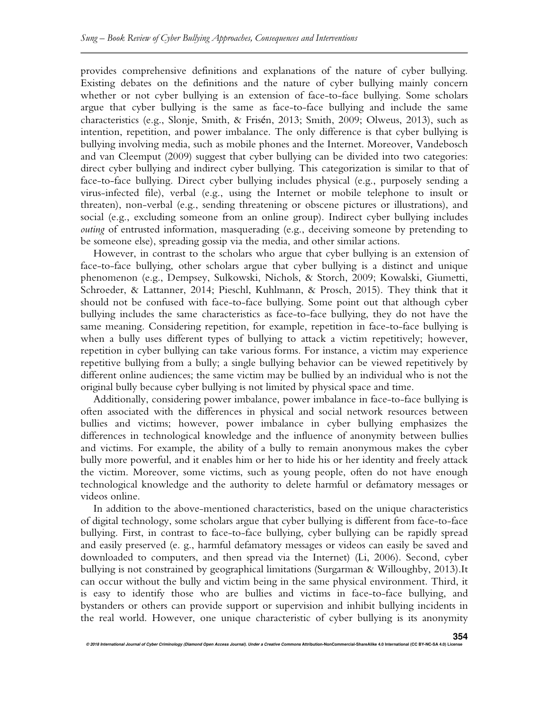provides comprehensive definitions and explanations of the nature of cyber bullying. Existing debates on the definitions and the nature of cyber bullying mainly concern whether or not cyber bullying is an extension of face-to-face bullying. Some scholars argue that cyber bullying is the same as face-to-face bullying and include the same characteristics (e.g., Slonje, Smith, & Frisén, 2013; Smith, 2009; Olweus, 2013), such as intention, repetition, and power imbalance. The only difference is that cyber bullying is bullying involving media, such as mobile phones and the Internet. Moreover, Vandebosch and van Cleemput (2009) suggest that cyber bullying can be divided into two categories: direct cyber bullying and indirect cyber bullying. This categorization is similar to that of face-to-face bullying. Direct cyber bullying includes physical (e.g., purposely sending a virus-infected file), verbal (e.g., using the Internet or mobile telephone to insult or threaten), non-verbal (e.g., sending threatening or obscene pictures or illustrations), and social (e.g., excluding someone from an online group). Indirect cyber bullying includes *outing* of entrusted information, masquerading (e.g., deceiving someone by pretending to be someone else), spreading gossip via the media, and other similar actions.

However, in contrast to the scholars who argue that cyber bullying is an extension of face-to-face bullying, other scholars argue that cyber bullying is a distinct and unique phenomenon (e.g., Dempsey, Sulkowski, Nichols, & Storch, 2009; Kowalski, Giumetti, Schroeder, & Lattanner, 2014; Pieschl, Kuhlmann, & Prosch, 2015). They think that it should not be confused with face-to-face bullying. Some point out that although cyber bullying includes the same characteristics as face-to-face bullying, they do not have the same meaning. Considering repetition, for example, repetition in face-to-face bullying is when a bully uses different types of bullying to attack a victim repetitively; however, repetition in cyber bullying can take various forms. For instance, a victim may experience repetitive bullying from a bully; a single bullying behavior can be viewed repetitively by different online audiences; the same victim may be bullied by an individual who is not the original bully because cyber bullying is not limited by physical space and time.

Additionally, considering power imbalance, power imbalance in face-to-face bullying is often associated with the differences in physical and social network resources between bullies and victims; however, power imbalance in cyber bullying emphasizes the differences in technological knowledge and the influence of anonymity between bullies and victims. For example, the ability of a bully to remain anonymous makes the cyber bully more powerful, and it enables him or her to hide his or her identity and freely attack the victim. Moreover, some victims, such as young people, often do not have enough technological knowledge and the authority to delete harmful or defamatory messages or videos online.

In addition to the above-mentioned characteristics, based on the unique characteristics of digital technology, some scholars argue that cyber bullying is different from face-to-face bullying. First, in contrast to face-to-face bullying, cyber bullying can be rapidly spread and easily preserved (e. g., harmful defamatory messages or videos can easily be saved and downloaded to computers, and then spread via the Internet) (Li, 2006). Second, cyber bullying is not constrained by geographical limitations (Surgarman & Willoughby, 2013).It can occur without the bully and victim being in the same physical environment. Third, it is easy to identify those who are bullies and victims in face-to-face bullying, and bystanders or others can provide support or supervision and inhibit bullying incidents in the real world. However, one unique characteristic of cyber bullying is its anonymity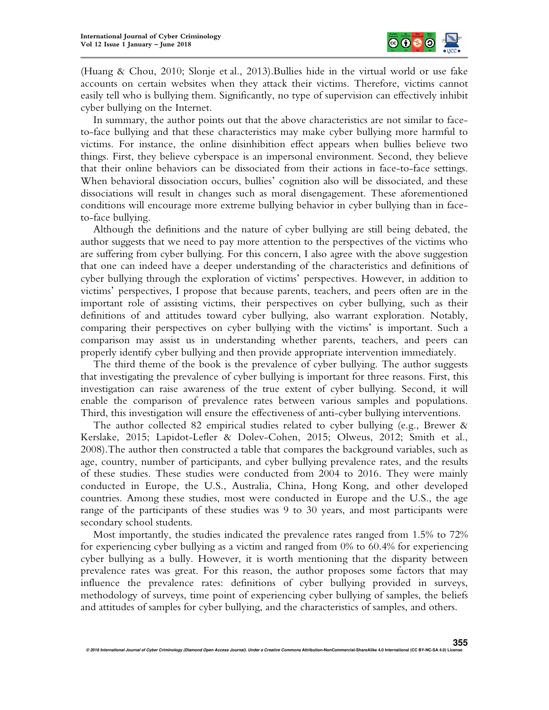

(Huang & Chou, 2010; Slonje et al., 2013).Bullies hide in the virtual world or use fake accounts on certain websites when they attack their victims. Therefore, victims cannot easily tell who is bullying them. Significantly, no type of supervision can effectively inhibit cyber bullying on the Internet.

In summary, the author points out that the above characteristics are not similar to faceto-face bullying and that these characteristics may make cyber bullying more harmful to victims. For instance, the online disinhibition effect appears when bullies believe two things. First, they believe cyberspace is an impersonal environment. Second, they believe that their online behaviors can be dissociated from their actions in face-to-face settings. When behavioral dissociation occurs, bullies' cognition also will be dissociated, and these dissociations will result in changes such as moral disengagement. These aforementioned conditions will encourage more extreme bullying behavior in cyber bullying than in faceto-face bullying.

Although the definitions and the nature of cyber bullying are still being debated, the author suggests that we need to pay more attention to the perspectives of the victims who are suffering from cyber bullying. For this concern, I also agree with the above suggestion that one can indeed have a deeper understanding of the characteristics and definitions of cyber bullying through the exploration of victims' perspectives. However, in addition to victims' perspectives, I propose that because parents, teachers, and peers often are in the important role of assisting victims, their perspectives on cyber bullying, such as their definitions of and attitudes toward cyber bullying, also warrant exploration. Notably, comparing their perspectives on cyber bullying with the victims' is important. Such a comparison may assist us in understanding whether parents, teachers, and peers can properly identify cyber bullying and then provide appropriate intervention immediately.

The third theme of the book is the prevalence of cyber bullying. The author suggests that investigating the prevalence of cyber bullying is important for three reasons. First, this investigation can raise awareness of the true extent of cyber bullying. Second, it will enable the comparison of prevalence rates between various samples and populations. Third, this investigation will ensure the effectiveness of anti-cyber bullying interventions.

The author collected 82 empirical studies related to cyber bullying (e.g., Brewer & Kerslake, 2015; Lapidot-Lefler & Dolev-Cohen, 2015; Olweus, 2012; Smith et al., 2008).The author then constructed a table that compares the background variables, such as age, country, number of participants, and cyber bullying prevalence rates, and the results of these studies. These studies were conducted from 2004 to 2016. They were mainly conducted in Europe, the U.S., Australia, China, Hong Kong, and other developed countries. Among these studies, most were conducted in Europe and the U.S., the age range of the participants of these studies was 9 to 30 years, and most participants were secondary school students.

Most importantly, the studies indicated the prevalence rates ranged from 1.5% to 72% for experiencing cyber bullying as a victim and ranged from 0% to 60.4% for experiencing cyber bullying as a bully. However, it is worth mentioning that the disparity between prevalence rates was great. For this reason, the author proposes some factors that may influence the prevalence rates: definitions of cyber bullying provided in surveys, methodology of surveys, time point of experiencing cyber bullying of samples, the beliefs and attitudes of samples for cyber bullying, and the characteristics of samples, and others.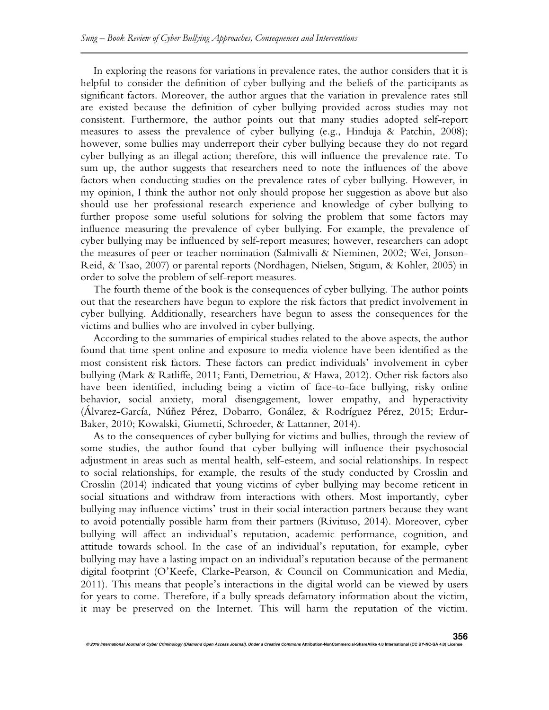In exploring the reasons for variations in prevalence rates, the author considers that it is helpful to consider the definition of cyber bullying and the beliefs of the participants as significant factors. Moreover, the author argues that the variation in prevalence rates still are existed because the definition of cyber bullying provided across studies may not consistent. Furthermore, the author points out that many studies adopted self-report measures to assess the prevalence of cyber bullying (e.g., Hinduja & Patchin, 2008); however, some bullies may underreport their cyber bullying because they do not regard cyber bullying as an illegal action; therefore, this will influence the prevalence rate. To sum up, the author suggests that researchers need to note the influences of the above factors when conducting studies on the prevalence rates of cyber bullying. However, in my opinion, I think the author not only should propose her suggestion as above but also should use her professional research experience and knowledge of cyber bullying to further propose some useful solutions for solving the problem that some factors may influence measuring the prevalence of cyber bullying. For example, the prevalence of cyber bullying may be influenced by self-report measures; however, researchers can adopt the measures of peer or teacher nomination (Salmivalli & Nieminen, 2002; Wei, Jonson-Reid, & Tsao, 2007) or parental reports (Nordhagen, Nielsen, Stigum, & Kohler, 2005) in order to solve the problem of self-report measures.

The fourth theme of the book is the consequences of cyber bullying. The author points out that the researchers have begun to explore the risk factors that predict involvement in cyber bullying. Additionally, researchers have begun to assess the consequences for the victims and bullies who are involved in cyber bullying.

According to the summaries of empirical studies related to the above aspects, the author found that time spent online and exposure to media violence have been identified as the most consistent risk factors. These factors can predict individuals' involvement in cyber bullying (Mark & Ratliffe, 2011; Fanti, Demetriou, & Hawa, 2012). Other risk factors also have been identified, including being a victim of face-to-face bullying, risky online behavior, social anxiety, moral disengagement, lower empathy, and hyperactivity (Álvarez-García, Núňez Pérez, Dobarro, Gonález, & Rodríguez Pérez, 2015; Erdur-Baker, 2010; Kowalski, Giumetti, Schroeder, & Lattanner, 2014).

As to the consequences of cyber bullying for victims and bullies, through the review of some studies, the author found that cyber bullying will influence their psychosocial adjustment in areas such as mental health, self-esteem, and social relationships. In respect to social relationships, for example, the results of the study conducted by Crosslin and Crosslin (2014) indicated that young victims of cyber bullying may become reticent in social situations and withdraw from interactions with others. Most importantly, cyber bullying may influence victims' trust in their social interaction partners because they want to avoid potentially possible harm from their partners (Rivituso, 2014). Moreover, cyber bullying will affect an individual's reputation, academic performance, cognition, and attitude towards school. In the case of an individual's reputation, for example, cyber bullying may have a lasting impact on an individual's reputation because of the permanent digital footprint (O'Keefe, Clarke-Pearson, & Council on Communication and Media, 2011). This means that people's interactions in the digital world can be viewed by users for years to come. Therefore, if a bully spreads defamatory information about the victim, it may be preserved on the Internet. This will harm the reputation of the victim.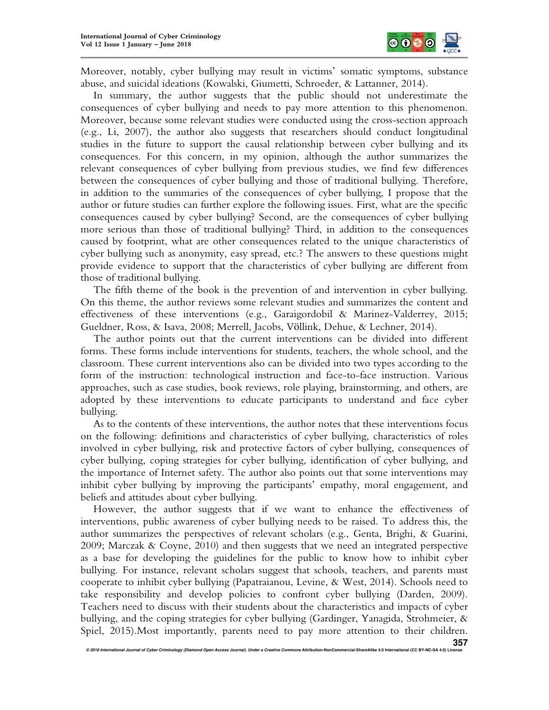

Moreover, notably, cyber bullying may result in victims' somatic symptoms, substance abuse, and suicidal ideations (Kowalski, Giumetti, Schroeder, & Lattanner, 2014).

In summary, the author suggests that the public should not underestimate the consequences of cyber bullying and needs to pay more attention to this phenomenon. Moreover, because some relevant studies were conducted using the cross-section approach (e.g., Li, 2007), the author also suggests that researchers should conduct longitudinal studies in the future to support the causal relationship between cyber bullying and its consequences. For this concern, in my opinion, although the author summarizes the relevant consequences of cyber bullying from previous studies, we find few differences between the consequences of cyber bullying and those of traditional bullying. Therefore, in addition to the summaries of the consequences of cyber bullying, I propose that the author or future studies can further explore the following issues. First, what are the specific consequences caused by cyber bullying? Second, are the consequences of cyber bullying more serious than those of traditional bullying? Third, in addition to the consequences caused by footprint, what are other consequences related to the unique characteristics of cyber bullying such as anonymity, easy spread, etc.? The answers to these questions might provide evidence to support that the characteristics of cyber bullying are different from those of traditional bullying.

The fifth theme of the book is the prevention of and intervention in cyber bullying. On this theme, the author reviews some relevant studies and summarizes the content and effectiveness of these interventions (e.g., Garaigordobil & Marinez-Valderrey, 2015; Gueldner, Ross, & Isava, 2008; Merrell, Jacobs, Völlink, Dehue, & Lechner, 2014).

The author points out that the current interventions can be divided into different forms. These forms include interventions for students, teachers, the whole school, and the classroom. These current interventions also can be divided into two types according to the form of the instruction: technological instruction and face-to-face instruction. Various approaches, such as case studies, book reviews, role playing, brainstorming, and others, are adopted by these interventions to educate participants to understand and face cyber bullying.

As to the contents of these interventions, the author notes that these interventions focus on the following: definitions and characteristics of cyber bullying, characteristics of roles involved in cyber bullying, risk and protective factors of cyber bullying, consequences of cyber bullying, coping strategies for cyber bullying, identification of cyber bullying, and the importance of Internet safety. The author also points out that some interventions may inhibit cyber bullying by improving the participants' empathy, moral engagement, and beliefs and attitudes about cyber bullying.

However, the author suggests that if we want to enhance the effectiveness of interventions, public awareness of cyber bullying needs to be raised. To address this, the author summarizes the perspectives of relevant scholars (e.g., Genta, Brighi, & Guarini, 2009; Marczak & Coyne, 2010) and then suggests that we need an integrated perspective as a base for developing the guidelines for the public to know how to inhibit cyber bullying. For instance, relevant scholars suggest that schools, teachers, and parents must cooperate to inhibit cyber bullying (Papatraianou, Levine, & West, 2014). Schools need to take responsibility and develop policies to confront cyber bullying (Darden, 2009). Teachers need to discuss with their students about the characteristics and impacts of cyber bullying, and the coping strategies for cyber bullying (Gardinger, Yanagida, Strohmeier, & Spiel, 2015).Most importantly, parents need to pay more attention to their children.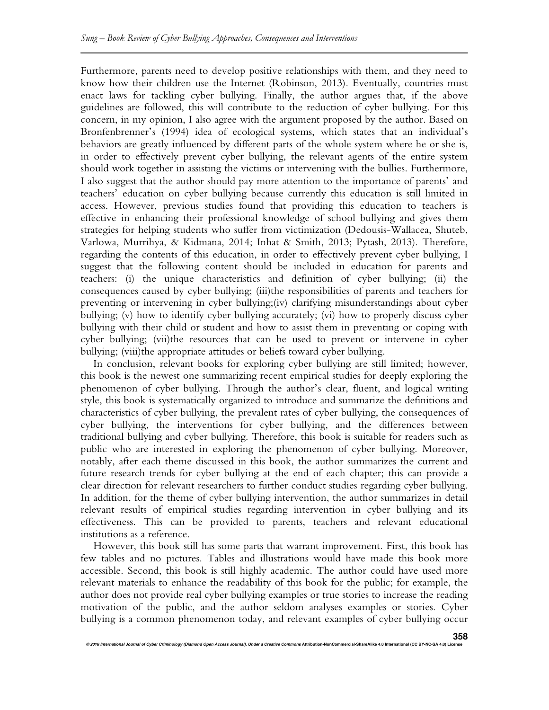Furthermore, parents need to develop positive relationships with them, and they need to know how their children use the Internet (Robinson, 2013). Eventually, countries must enact laws for tackling cyber bullying. Finally, the author argues that, if the above guidelines are followed, this will contribute to the reduction of cyber bullying. For this concern, in my opinion, I also agree with the argument proposed by the author. Based on Bronfenbrenner's (1994) idea of ecological systems, which states that an individual's behaviors are greatly influenced by different parts of the whole system where he or she is, in order to effectively prevent cyber bullying, the relevant agents of the entire system should work together in assisting the victims or intervening with the bullies. Furthermore, I also suggest that the author should pay more attention to the importance of parents' and teachers' education on cyber bullying because currently this education is still limited in access. However, previous studies found that providing this education to teachers is effective in enhancing their professional knowledge of school bullying and gives them strategies for helping students who suffer from victimization (Dedousis-Wallacea, Shuteb, Varlowa, Murrihya, & Kidmana, 2014; Inhat & Smith, 2013; Pytash, 2013). Therefore, regarding the contents of this education, in order to effectively prevent cyber bullying, I suggest that the following content should be included in education for parents and teachers: (i) the unique characteristics and definition of cyber bullying; (ii) the consequences caused by cyber bullying; (iii)the responsibilities of parents and teachers for preventing or intervening in cyber bullying;(iv) clarifying misunderstandings about cyber bullying; (v) how to identify cyber bullying accurately; (vi) how to properly discuss cyber bullying with their child or student and how to assist them in preventing or coping with cyber bullying; (vii)the resources that can be used to prevent or intervene in cyber bullying; (viii)the appropriate attitudes or beliefs toward cyber bullying.

In conclusion, relevant books for exploring cyber bullying are still limited; however, this book is the newest one summarizing recent empirical studies for deeply exploring the phenomenon of cyber bullying. Through the author's clear, fluent, and logical writing style, this book is systematically organized to introduce and summarize the definitions and characteristics of cyber bullying, the prevalent rates of cyber bullying, the consequences of cyber bullying, the interventions for cyber bullying, and the differences between traditional bullying and cyber bullying. Therefore, this book is suitable for readers such as public who are interested in exploring the phenomenon of cyber bullying. Moreover, notably, after each theme discussed in this book, the author summarizes the current and future research trends for cyber bullying at the end of each chapter; this can provide a clear direction for relevant researchers to further conduct studies regarding cyber bullying. In addition, for the theme of cyber bullying intervention, the author summarizes in detail relevant results of empirical studies regarding intervention in cyber bullying and its effectiveness. This can be provided to parents, teachers and relevant educational institutions as a reference.

However, this book still has some parts that warrant improvement. First, this book has few tables and no pictures. Tables and illustrations would have made this book more accessible. Second, this book is still highly academic. The author could have used more relevant materials to enhance the readability of this book for the public; for example, the author does not provide real cyber bullying examples or true stories to increase the reading motivation of the public, and the author seldom analyses examples or stories. Cyber bullying is a common phenomenon today, and relevant examples of cyber bullying occur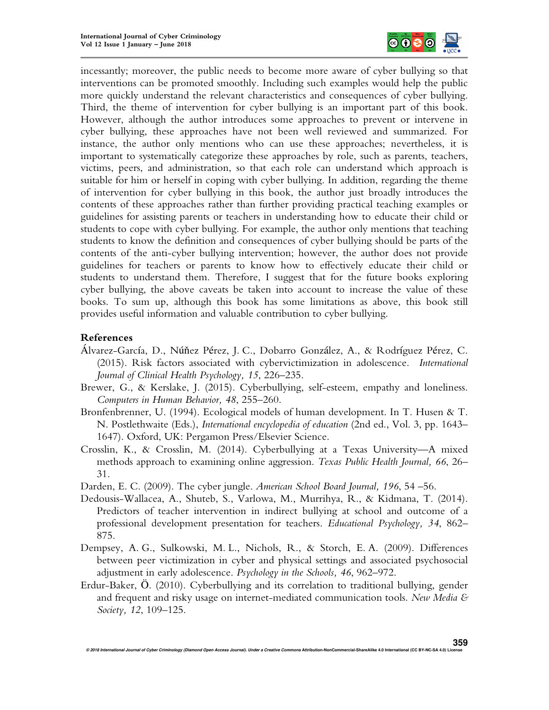

incessantly; moreover, the public needs to become more aware of cyber bullying so that interventions can be promoted smoothly. Including such examples would help the public more quickly understand the relevant characteristics and consequences of cyber bullying. Third, the theme of intervention for cyber bullying is an important part of this book. However, although the author introduces some approaches to prevent or intervene in cyber bullying, these approaches have not been well reviewed and summarized. For instance, the author only mentions who can use these approaches; nevertheless, it is important to systematically categorize these approaches by role, such as parents, teachers, victims, peers, and administration, so that each role can understand which approach is suitable for him or herself in coping with cyber bullying. In addition, regarding the theme of intervention for cyber bullying in this book, the author just broadly introduces the contents of these approaches rather than further providing practical teaching examples or guidelines for assisting parents or teachers in understanding how to educate their child or students to cope with cyber bullying. For example, the author only mentions that teaching students to know the definition and consequences of cyber bullying should be parts of the contents of the anti-cyber bullying intervention; however, the author does not provide guidelines for teachers or parents to know how to effectively educate their child or students to understand them. Therefore, I suggest that for the future books exploring cyber bullying, the above caveats be taken into account to increase the value of these books. To sum up, although this book has some limitations as above, this book still provides useful information and valuable contribution to cyber bullying.

## **References**

- Álvarez-García, D., Núňez Pérez, J. C., Dobarro González, A., & Rodríguez Pérez, C. (2015). Risk factors associated with cybervictimization in adolescence. *International Journal of Clinical Health Psychology, 15*, 226–235.
- Brewer, G., & Kerslake, J. (2015). Cyberbullying, self-esteem, empathy and loneliness. *Computers in Human Behavior, 48*, 255–260.
- Bronfenbrenner, U. (1994). Ecological models of human development. In T. Husen & T. N. Postlethwaite (Eds.), *International encyclopedia of education* (2nd ed., Vol. 3, pp. 1643– 1647). Oxford, UK: Pergamon Press/Elsevier Science.
- Crosslin, K., & Crosslin, M. (2014). Cyberbullying at a Texas University—A mixed methods approach to examining online aggression. *Texas Public Health Journal, 66*, 26– 31.
- Darden, E. C. (2009). The cyber jungle. *American School Board Journal, 196*, 54 –56.
- Dedousis-Wallacea, A., Shuteb, S., Varlowa, M., Murrihya, R., & Kidmana, T. (2014). Predictors of teacher intervention in indirect bullying at school and outcome of a professional development presentation for teachers. *Educational Psychology, 34*, 862– 875.
- Dempsey, A. G., Sulkowski, M. L., Nichols, R., & Storch, E. A. (2009). Differences between peer victimization in cyber and physical settings and associated psychosocial adjustment in early adolescence. *Psychology in the Schools, 46*, 962–972.
- Erdur-Baker, Ö. (2010). Cyberbullying and its correlation to traditional bullying, gender and frequent and risky usage on internet-mediated communication tools. *New Media & Society, 12*, 109–125.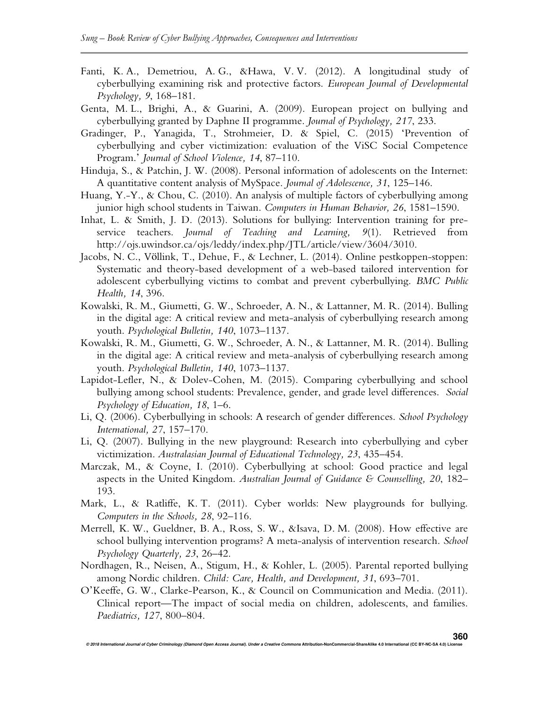- Fanti, K. A., Demetriou, A. G., &Hawa, V. V. (2012). A longitudinal study of cyberbullying examining risk and protective factors. *European Journal of Developmental Psychology, 9*, 168–181.
- Genta, M. L., Brighi, A., & Guarini, A. (2009). European project on bullying and cyberbullying granted by Daphne II programme. *Journal of Psychology, 217*, 233.
- Gradinger, P., Yanagida, T., Strohmeier, D. & Spiel, C. (2015) 'Prevention of cyberbullying and cyber victimization: evaluation of the ViSC Social Competence Program.' *Journal of School Violence, 14*, 87–110.
- Hinduja, S., & Patchin, J. W. (2008). Personal information of adolescents on the Internet: A quantitative content analysis of MySpace. *Journal of Adolescence, 31*, 125–146.
- Huang, Y.-Y., & Chou, C. (2010). An analysis of multiple factors of cyberbullying among junior high school students in Taiwan. *Computers in Human Behavior, 26*, 1581–1590.
- Inhat, L. & Smith, J. D. (2013). Solutions for bullying: Intervention training for preservice teachers. *Journal of Teaching and Learning, 9*(1). Retrieved from http://ojs.uwindsor.ca/ojs/leddy/index.php/JTL/article/view/3604/3010.
- Jacobs, N. C., Völlink, T., Dehue, F., & Lechner, L. (2014). Online pestkoppen-stoppen: Systematic and theory-based development of a web-based tailored intervention for adolescent cyberbullying victims to combat and prevent cyberbullying. *BMC Public Health, 14*, 396.
- Kowalski, R. M., Giumetti, G. W., Schroeder, A. N., & Lattanner, M. R. (2014). Bulling in the digital age: A critical review and meta-analysis of cyberbullying research among youth. *Psychological Bulletin, 140*, 1073–1137.
- Kowalski, R. M., Giumetti, G. W., Schroeder, A. N., & Lattanner, M. R. (2014). Bulling in the digital age: A critical review and meta-analysis of cyberbullying research among youth. *Psychological Bulletin, 140*, 1073–1137.
- Lapidot-Lefler, N., & Dolev-Cohen, M. (2015). Comparing cyberbullying and school bullying among school students: Prevalence, gender, and grade level differences. *Social Psychology of Education, 18*, 1–6.
- Li, Q. (2006). Cyberbullying in schools: A research of gender differences. *School Psychology International, 27*, 157–170.
- Li, Q. (2007). Bullying in the new playground: Research into cyberbullying and cyber victimization. *Australasian Journal of Educational Technology, 23*, 435–454.
- Marczak, M., & Coyne, I. (2010). Cyberbullying at school: Good practice and legal aspects in the United Kingdom. *Australian Journal of Guidance & Counselling, 20*, 182– 193.
- Mark, L., & Ratliffe, K. T. (2011). Cyber worlds: New playgrounds for bullying. *Computers in the Schools, 28*, 92–116.
- Merrell, K. W., Gueldner, B. A., Ross, S. W., &Isava, D. M. (2008). How effective are school bullying intervention programs? A meta-analysis of intervention research. *School Psychology Quarterly, 23*, 26–42.
- Nordhagen, R., Neisen, A., Stigum, H., & Kohler, L. (2005). Parental reported bullying among Nordic children. *Child: Care, Health, and Development, 31*, 693–701.
- O'Keeffe, G. W., Clarke-Pearson, K., & Council on Communication and Media. (2011). Clinical report—The impact of social media on children, adolescents, and families. *Paediatrics, 127*, 800–804.

**© 2018 International Journal of Cyber Criminology (Diamond Open Access Journal). Under a Creative Commons Attribution-NonCommercial-ShareAlike 4.0 International (CC BY-NC-SA 4.0) License 360**